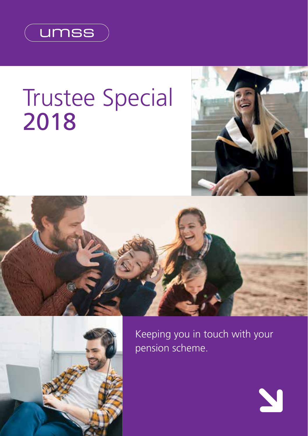

# Trustee Special 2018



N





Keeping you in touch with your pension scheme.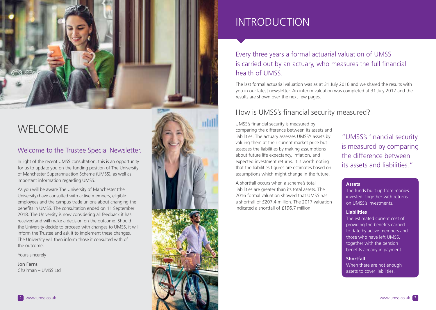

## WELCOME

#### Welcome to the Trustee Special Newsletter.

In light of the recent UMSS consultation, this is an opportunity for us to update you on the funding position of The University of Manchester Superannuation Scheme (UMSS), as well as important information regarding UMSS.

As you will be aware The University of Manchester (the University) have consulted with active members, eligible employees and the campus trade unions about changing the benefits in UMSS. The consultation ended on 11 September 2018. The University is now considering all feedback it has received and will make a decision on the outcome. Should the University decide to proceed with changes to UMSS, it will inform the Trustee and ask it to implement these changes. The University will then inform those it consulted with of the outcome.

Yours sincerely

Jon Ferns Chairman – UMSS Ltd



## INTRODUCTION

### Every three years a formal actuarial valuation of UMSS is carried out by an actuary, who measures the full financial health of UMSS.

The last formal actuarial valuation was as at 31 July 2016 and we shared the results with you in our latest newsletter. An interim valuation was completed at 31 July 2017 and the results are shown over the next few pages.

### How is UMSS's financial security measured?

UMSS's financial security is measured by comparing the difference between its assets and liabilities. The actuary assesses UMSS's assets by valuing them at their current market price but assesses the liabilities by making assumptions about future life expectancy, inflation, and expected investment returns. It is worth noting that the liabilities figures are estimates based on assumptions which might change in the future.

A shortfall occurs when a scheme's total liabilities are greater than its total assets. The 2016 formal valuation showed that UMSS has a shortfall of £207.4 million. The 2017 valuation indicated a shortfall of £196.7 million.

"UMSS's financial security is measured by comparing the difference between its assets and liabilities."

#### **Assets**

The funds built up from monies invested, together with returns on UMSS's investments.

#### **Liabilities**

The estimated current cost of providing the benefits earned to date by active members and those who have left UMSS, together with the pension benefits already in payment.

#### **Shortfall**

When there are not enough assets to cover liabilities.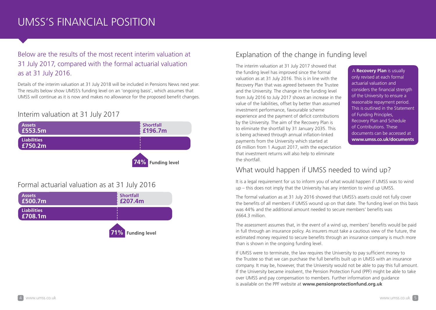## UMSS'S FINANCIAL POSITION

### Below are the results of the most recent interim valuation at 31 July 2017, compared with the formal actuarial valuation as at 31 July 2016.

Details of the interim valuation at 31 July 2018 will be included in Pensions News next year. The results below show UMSS's funding level on an 'ongoing basis', which assumes that UMSS will continue as it is now and makes no allowance for the proposed benefit changes.

#### Interim valuation at 31 July 2017



#### Formal actuarial valuation as at 31 July 2016



### Explanation of the change in funding level

The interim valuation at 31 July 2017 showed that the funding level has improved since the formal valuation as at 31 July 2016. This is in line with the Recovery Plan that was agreed between the Trustee and the University. The change in the funding level from July 2016 to July 2017 shows an increase in the value of the liabilities, offset by better than assumed investment performance, favourable scheme experience and the payment of deficit contributions by the University. The aim of the Recovery Plan is to eliminate the shortfall by 31 January 2035. This is being achieved through annual inflation-linked payments from the University which started at £6 million from 1 August 2017, with the expectation that investment returns will also help to eliminate the shortfall.

A **Recovery Plan** is usually only revised at each formal actuarial valuation and considers the financial strength of the University to ensure a reasonable repayment period. This is outlined in the Statement of Funding Principles, Recovery Plan and Schedule of Contributions. These documents can be accessed at **www.umss.co.uk/documents**

#### What would happen if UMSS needed to wind up?

It is a legal requirement for us to inform you of what would happen if UMSS was to wind up – this does not imply that the University has any intention to wind up UMSS.

The formal valuation as at 31 July 2016 showed that UMSS's assets could not fully cover the benefits of all members if UMSS wound up on that date. The funding level on this basis was 44% and the additional amount needed to secure members' benefits was £664.3 million.

The assessment assumes that, in the event of a wind up, members' benefits would be paid in full through an insurance policy. As insurers must take a cautious view of the future, the estimated money required to secure benefits through an insurance company is much more than is shown in the ongoing funding level.

If UMSS were to terminate, the law requires the University to pay sufficient money to the Trustee so that we can purchase the full benefits built up in UMSS with an insurance company. It may be, however, that the University would not be able to pay this full amount. If the University became insolvent, the Pension Protection Fund (PPF) might be able to take over UMSS and pay compensation to members. Further information and guidance is available on the PPF website at **www.pensionprotectionfund.org.uk**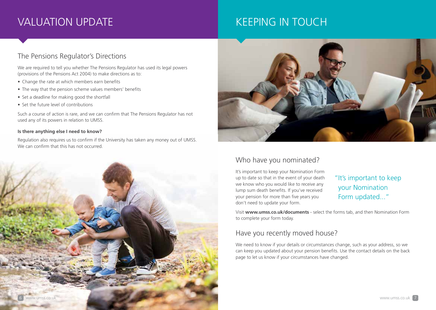## VALUATION UPDATE

## KEEPING IN TOUCH

#### The Pensions Regulator's Directions

We are required to tell you whether The Pensions Regulator has used its legal powers (provisions of the Pensions Act 2004) to make directions as to:

- Change the rate at which members earn benefits
- The way that the pension scheme values members' benefits
- Set a deadline for making good the shortfall
- Set the future level of contributions

Such a course of action is rare, and we can confirm that The Pensions Regulator has not used any of its powers in relation to UMSS.

#### **Is there anything else I need to know?**

Regulation also requires us to confirm if the University has taken any money out of UMSS. We can confirm that this has not occurred.





#### Who have you nominated?

It's important to keep your Nomination Form up to date so that in the event of your death we know who you would like to receive any lump sum death benefits. If you've received your pension for more than five years you don't need to update your form.

### "It's important to keep your Nomination Form updated..."

Visit **www.umss.co.uk/documents** - select the forms tab, and then Nomination Form to complete your form today.

#### Have you recently moved house?

We need to know if your details or circumstances change, such as your address, so we can keep you updated about your pension benefits. Use the contact details on the back page to let us know if your circumstances have changed.